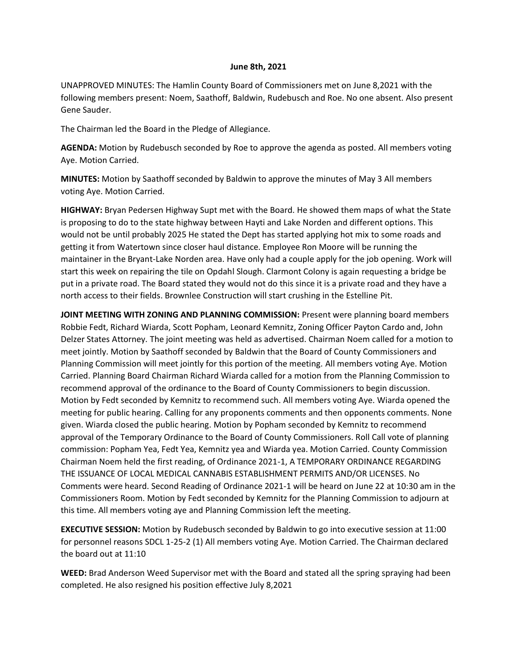## **June 8th, 2021**

UNAPPROVED MINUTES: The Hamlin County Board of Commissioners met on June 8,2021 with the following members present: Noem, Saathoff, Baldwin, Rudebusch and Roe. No one absent. Also present Gene Sauder.

The Chairman led the Board in the Pledge of Allegiance.

**AGENDA:** Motion by Rudebusch seconded by Roe to approve the agenda as posted. All members voting Aye. Motion Carried.

**MINUTES:** Motion by Saathoff seconded by Baldwin to approve the minutes of May 3 All members voting Aye. Motion Carried.

**HIGHWAY:** Bryan Pedersen Highway Supt met with the Board. He showed them maps of what the State is proposing to do to the state highway between Hayti and Lake Norden and different options. This would not be until probably 2025 He stated the Dept has started applying hot mix to some roads and getting it from Watertown since closer haul distance. Employee Ron Moore will be running the maintainer in the Bryant-Lake Norden area. Have only had a couple apply for the job opening. Work will start this week on repairing the tile on Opdahl Slough. Clarmont Colony is again requesting a bridge be put in a private road. The Board stated they would not do this since it is a private road and they have a north access to their fields. Brownlee Construction will start crushing in the Estelline Pit.

**JOINT MEETING WITH ZONING AND PLANNING COMMISSION:** Present were planning board members Robbie Fedt, Richard Wiarda, Scott Popham, Leonard Kemnitz, Zoning Officer Payton Cardo and, John Delzer States Attorney. The joint meeting was held as advertised. Chairman Noem called for a motion to meet jointly. Motion by Saathoff seconded by Baldwin that the Board of County Commissioners and Planning Commission will meet jointly for this portion of the meeting. All members voting Aye. Motion Carried. Planning Board Chairman Richard Wiarda called for a motion from the Planning Commission to recommend approval of the ordinance to the Board of County Commissioners to begin discussion. Motion by Fedt seconded by Kemnitz to recommend such. All members voting Aye. Wiarda opened the meeting for public hearing. Calling for any proponents comments and then opponents comments. None given. Wiarda closed the public hearing. Motion by Popham seconded by Kemnitz to recommend approval of the Temporary Ordinance to the Board of County Commissioners. Roll Call vote of planning commission: Popham Yea, Fedt Yea, Kemnitz yea and Wiarda yea. Motion Carried. County Commission Chairman Noem held the first reading, of Ordinance 2021-1, A TEMPORARY ORDINANCE REGARDING THE ISSUANCE OF LOCAL MEDICAL CANNABIS ESTABLISHMENT PERMITS AND/OR LICENSES. No Comments were heard. Second Reading of Ordinance 2021-1 will be heard on June 22 at 10:30 am in the Commissioners Room. Motion by Fedt seconded by Kemnitz for the Planning Commission to adjourn at this time. All members voting aye and Planning Commission left the meeting.

**EXECUTIVE SESSION:** Motion by Rudebusch seconded by Baldwin to go into executive session at 11:00 for personnel reasons SDCL 1-25-2 (1) All members voting Aye. Motion Carried. The Chairman declared the board out at 11:10

**WEED:** Brad Anderson Weed Supervisor met with the Board and stated all the spring spraying had been completed. He also resigned his position effective July 8,2021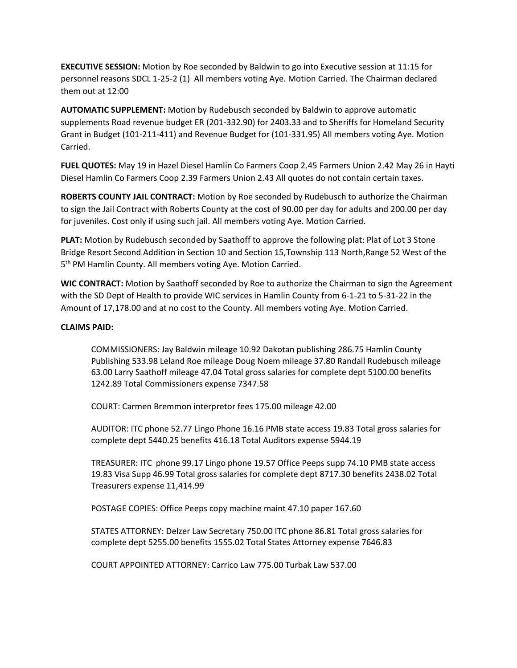**EXECUTIVE SESSION:** Motion by Roe seconded by Baldwin to go into Executive session at 11:15 for personnel reasons SDCL 1-25-2 (1) All members voting Aye. Motion Carried. The Chairman declared them out at 12:00

**AUTOMATIC SUPPLEMENT:** Motion by Rudebusch seconded by Baldwin to approve automatic supplements Road revenue budget ER (201-332.90) for 2403.33 and to Sheriffs for Homeland Security Grant in Budget (101-211-411) and Revenue Budget for (101-331.95) All members voting Aye. Motion Carried.

**FUEL QUOTES:** May 19 in Hazel Diesel Hamlin Co Farmers Coop 2.45 Farmers Union 2.42 May 26 in Hayti Diesel Hamlin Co Farmers Coop 2.39 Farmers Union 2.43 All quotes do not contain certain taxes.

**ROBERTS COUNTY JAIL CONTRACT:** Motion by Roe seconded by Rudebusch to authorize the Chairman to sign the Jail Contract with Roberts County at the cost of 90.00 per day for adults and 200.00 per day for juveniles. Cost only if using such jail. All members voting Aye. Motion Carried.

**PLAT:** Motion by Rudebusch seconded by Saathoff to approve the following plat: Plat of Lot 3 Stone Bridge Resort Second Addition in Section 10 and Section 15,Township 113 North,Range 52 West of the 5<sup>th</sup> PM Hamlin County. All members voting Aye. Motion Carried.

**WIC CONTRACT:** Motion by Saathoff seconded by Roe to authorize the Chairman to sign the Agreement with the SD Dept of Health to provide WIC services in Hamlin County from 6-1-21 to 5-31-22 in the Amount of 17,178.00 and at no cost to the County. All members voting Aye. Motion Carried.

## **CLAIMS PAID:**

COMMISSIONERS: Jay Baldwin mileage 10.92 Dakotan publishing 286.75 Hamlin County Publishing 533.98 Leland Roe mileage Doug Noem mileage 37.80 Randall Rudebusch mileage 63.00 Larry Saathoff mileage 47.04 Total gross salaries for complete dept 5100.00 benefits 1242.89 Total Commissioners expense 7347.58

COURT: Carmen Bremmon interpretor fees 175.00 mileage 42.00

AUDITOR: ITC phone 52.77 Lingo Phone 16.16 PMB state access 19.83 Total gross salaries for complete dept 5440.25 benefits 416.18 Total Auditors expense 5944.19

TREASURER: ITC phone 99.17 Lingo phone 19.57 Office Peeps supp 74.10 PMB state access 19.83 Visa Supp 46.99 Total gross salaries for complete dept 8717.30 benefits 2438.02 Total Treasurers expense 11,414.99

POSTAGE COPIES: Office Peeps copy machine maint 47.10 paper 167.60

STATES ATTORNEY: Delzer Law Secretary 750.00 ITC phone 86.81 Total gross salaries for complete dept 5255.00 benefits 1555.02 Total States Attorney expense 7646.83

COURT APPOINTED ATTORNEY: Carrico Law 775.00 Turbak Law 537.00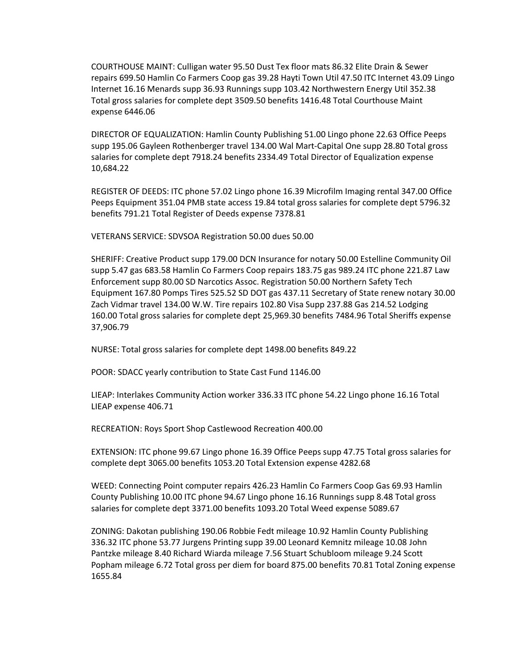COURTHOUSE MAINT: Culligan water 95.50 Dust Tex floor mats 86.32 Elite Drain & Sewer repairs 699.50 Hamlin Co Farmers Coop gas 39.28 Hayti Town Util 47.50 ITC Internet 43.09 Lingo Internet 16.16 Menards supp 36.93 Runnings supp 103.42 Northwestern Energy Util 352.38 Total gross salaries for complete dept 3509.50 benefits 1416.48 Total Courthouse Maint expense 6446.06

DIRECTOR OF EQUALIZATION: Hamlin County Publishing 51.00 Lingo phone 22.63 Office Peeps supp 195.06 Gayleen Rothenberger travel 134.00 Wal Mart-Capital One supp 28.80 Total gross salaries for complete dept 7918.24 benefits 2334.49 Total Director of Equalization expense 10,684.22

REGISTER OF DEEDS: ITC phone 57.02 Lingo phone 16.39 Microfilm Imaging rental 347.00 Office Peeps Equipment 351.04 PMB state access 19.84 total gross salaries for complete dept 5796.32 benefits 791.21 Total Register of Deeds expense 7378.81

VETERANS SERVICE: SDVSOA Registration 50.00 dues 50.00

SHERIFF: Creative Product supp 179.00 DCN Insurance for notary 50.00 Estelline Community Oil supp 5.47 gas 683.58 Hamlin Co Farmers Coop repairs 183.75 gas 989.24 ITC phone 221.87 Law Enforcement supp 80.00 SD Narcotics Assoc. Registration 50.00 Northern Safety Tech Equipment 167.80 Pomps Tires 525.52 SD DOT gas 437.11 Secretary of State renew notary 30.00 Zach Vidmar travel 134.00 W.W. Tire repairs 102.80 Visa Supp 237.88 Gas 214.52 Lodging 160.00 Total gross salaries for complete dept 25,969.30 benefits 7484.96 Total Sheriffs expense 37,906.79

NURSE: Total gross salaries for complete dept 1498.00 benefits 849.22

POOR: SDACC yearly contribution to State Cast Fund 1146.00

LIEAP: Interlakes Community Action worker 336.33 ITC phone 54.22 Lingo phone 16.16 Total LIEAP expense 406.71

RECREATION: Roys Sport Shop Castlewood Recreation 400.00

EXTENSION: ITC phone 99.67 Lingo phone 16.39 Office Peeps supp 47.75 Total gross salaries for complete dept 3065.00 benefits 1053.20 Total Extension expense 4282.68

WEED: Connecting Point computer repairs 426.23 Hamlin Co Farmers Coop Gas 69.93 Hamlin County Publishing 10.00 ITC phone 94.67 Lingo phone 16.16 Runnings supp 8.48 Total gross salaries for complete dept 3371.00 benefits 1093.20 Total Weed expense 5089.67

ZONING: Dakotan publishing 190.06 Robbie Fedt mileage 10.92 Hamlin County Publishing 336.32 ITC phone 53.77 Jurgens Printing supp 39.00 Leonard Kemnitz mileage 10.08 John Pantzke mileage 8.40 Richard Wiarda mileage 7.56 Stuart Schubloom mileage 9.24 Scott Popham mileage 6.72 Total gross per diem for board 875.00 benefits 70.81 Total Zoning expense 1655.84